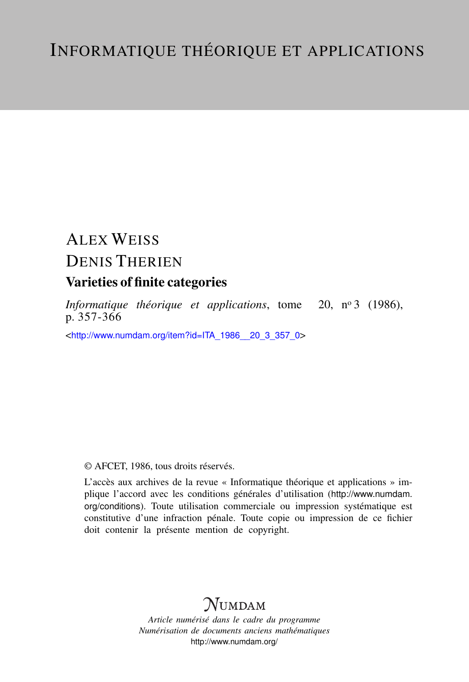# ALEX WEISS DENIS THERIEN

# Varieties of finite categories

*Informatique théorique et applications*, tome 20, n<sup>o</sup> 3 (1986), p. 357-366

<[http://www.numdam.org/item?id=ITA\\_1986\\_\\_20\\_3\\_357\\_0](http://www.numdam.org/item?id=ITA_1986__20_3_357_0)>

## © AFCET, 1986, tous droits réservés.

L'accès aux archives de la revue « Informatique théorique et applications » implique l'accord avec les conditions générales d'utilisation ([http://www.numdam.](http://www.numdam.org/conditions) [org/conditions](http://www.numdam.org/conditions)). Toute utilisation commerciale ou impression systématique est constitutive d'une infraction pénale. Toute copie ou impression de ce fichier doit contenir la présente mention de copyright.

# **NUMDAM**

*Article numérisé dans le cadre du programme Numérisation de documents anciens mathématiques* <http://www.numdam.org/>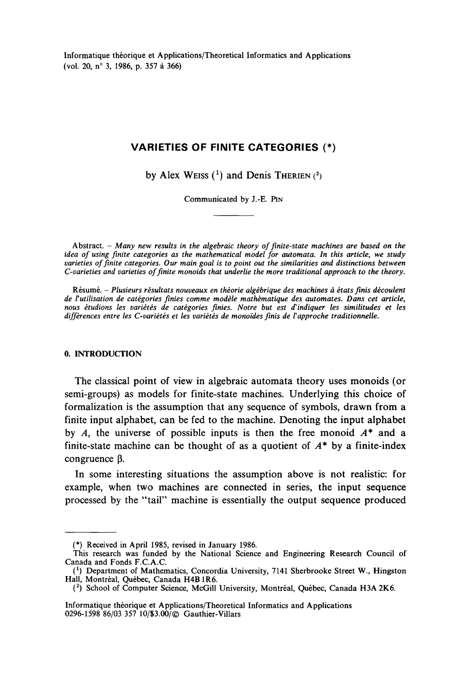**Informatique théorique et Applications/Theoretical Informaties and Applications (vol 20, n° 3, 1986, p. 357 à 366)**

### **VARIETIES OF FINITE CATEGORIES (\*)**

by Alex Weiss  $(1)$  and Denis THERIEN  $(2)$ 

**Communicated by J.-E. PIN**

**Abstract. -** *Many new results in the algebraic theory of flnite-state machines are based on the idea of using finite catégories as the mathematical model for automata. In this article, we study varieties of finite categories. Our main goal is to point out the similarities and distinctions between C-varieties and varieties of finite monoids that underlie the more traditional approach to the theory.*

**Résumé. -** *Plusieurs résultats nouveaux en théorie algébrique des machines à états finis découlent* de l'utilisation de catégories finies comme modèle mathématique des automates. Dans cet article, *nous étudions les variétés de catégories finies. Notre but est d'indiquer les similitudes et les différences entre les C-variétés et les variétés de monoïdes finis de Vapproche traditionnelle.*

#### **0. INTRODUCTION**

The classical point of view in algebraic automata theory uses monoids (or semi-groups) as models for finite-state machines. Underlying this choice of formalization is the assumption that any sequence of symbols, drawn from a finite input alphabet, can be fed to the machine. Denoting the input alphabet by *A*, the universe of possible inputs is then the free monoid  $A^*$  and a finite-state machine can be thought of as a quotient of *A\** by a finite-index congruence  $\beta$ .

In some interesting situations the assumption above is not realistic: for example, when two machines are connected in series, the input sequence processed by the "tail" machine is essentially the output sequence produced

**<sup>(\*)</sup> Received in April 1985, revised in January 1986.**

**This research was funded by the National Science and Engineering Research Council of Canada and Fonds F.C.A.C**

**<sup>(&#</sup>x27;) Department of Mathematics, Concordia University, 7141 Sherbrooke Street W., Hingston Hall, Montréal, Québec, Canada H4B1R6.**

**<sup>(</sup> 2 ) School of Computer Science, McGill University, Montréal, Québec, Canada H3A 2K6.**

**Informatique théorique et Applications/Theoretical Informaties and Applications 0296-1598 86/03 357 10/83.00/© Gauthier-Villars**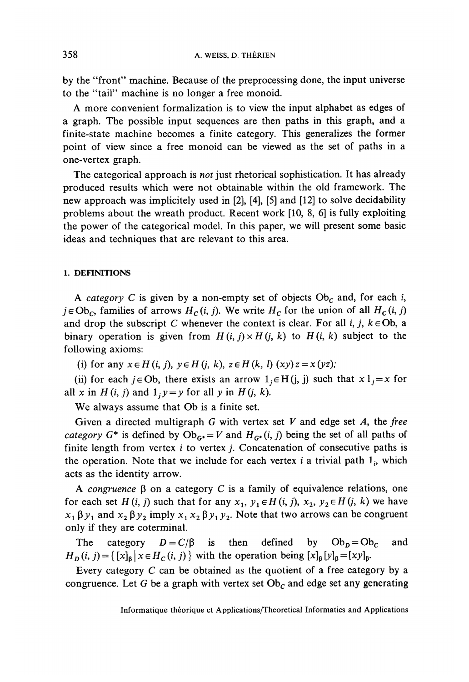by the "front" machine. Because of the preprocessing done, the input universe to the "tail" machine is no longer a free monoid.

A more convenient formalization is to view the input alphabet as edges of a graph. The possible input sequences are then paths in this graph, and a finite-state machine becomes a finite category. This generalizes the former point of view since a free monoid can be viewed as the set of paths in a one-vertex graph.

The categorical approach is *not* just rhetorical sophistication. It has already produced results which were not obtainable within the old framework. The new approach was implicitely used in [2], [4], [5] and [12] to solve decidability problems about the wreath product. Recent work [10, 8, 6] is fully exploiting the power of the categorical model. In this paper, we will present some basic ideas and techniques that are relevant to this area.

#### **1. DEFINITIONS**

A *category* C is given by a non-empty set of objects  $Ob<sub>C</sub>$  and, for each i,  $j \in Ob_c$ , families of arrows  $H_c(i, j)$ . We write  $H_c$  for the union of all  $H_c(i, j)$ and drop the subscript C whenever the context is clear. For all *i*,  $j$ ,  $k \in Ob$ , a binary operation is given from  $H(i, j) \times H(j, k)$  to  $H(i, k)$  subject to the following axioms:

(i) for any  $x \in H(i, j)$ ,  $y \in H(j, k)$ ,  $z \in H(k, l)$   $(xy)z = x(yz)$ ;

(ii) for each  $j \in \text{Ob}$ , there exists an arrow  $1_i \in H(j, j)$  such that  $x 1_j = x$  for all *x* in *H*(*i, j*) and  $1, y = y$  for all *y* in *H*(*j, k*).

We always assume that Ob is a finite set

Given a directed multigraph G with vertex set *V* and edge set *A,* the *free category*  $G^*$  is defined by  $Ob_{G^*} = V$  and  $H_{G^*}(i, j)$  being the set of all paths of finite length from vertex *i* to vertex *j*. Concatenation of consecutive paths is the operation. Note that we include for each vertex  $i$  a trivial path  $1<sub>i</sub>$ , which acts as the identity arrow.

A *congruence*  $\beta$  on a category C is a family of equivalence relations, one for each set  $H(i, j)$  such that for any  $x_1, y_1 \in H(i, j)$ ,  $x_2, y_2 \in H(j, k)$  we have  $x_1 \beta y_1$  and  $x_2 \beta y_2$  imply  $x_1 x_2 \beta y_1 y_2$ . Note that two arrows can be congruent only if they are coterminal.

The category  $D = C/\beta$  is then defined by  $Ob_p = Ob_c$  and  $H_D(i, j) = \{ [x]_B | x \in H_C(i, j) \}$  with the operation being  $[x]_B [y]_B = [xy]_B$ .

Every category *C* can be obtained as the quotient of a free category by a congruence. Let G be a graph with vertex set  $Ob<sub>C</sub>$  and edge set any generating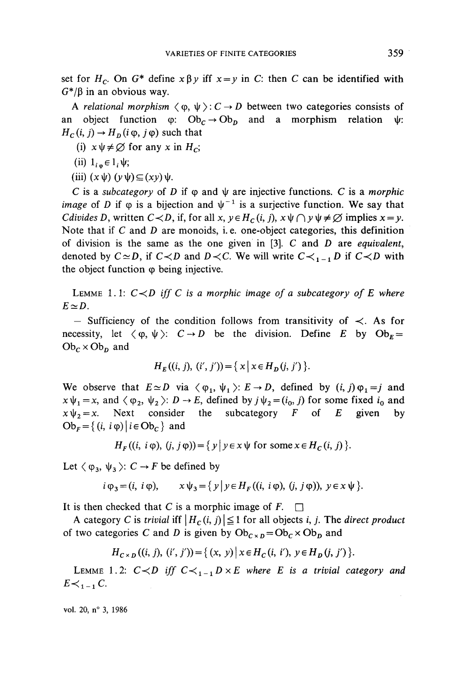set for  $H_c$ . On  $G^*$  define  $x \beta y$  iff  $x=y$  in C: then C can be identified with  $G^*/\beta$  in an obvious way.

A *relational morphism*  $\langle \varphi, \psi \rangle : C \to D$  between two categories consists of an object function  $\varphi: Ob_c \to Ob_n$  and a morphism relation  $\psi$ :  $H_c(i, j) \rightarrow H_p(i \varphi, j \varphi)$  such that

- (i)  $x \psi \neq \emptyset$  for any x in  $H_c$ ;
- (ii)  $l_{i\,\omega} \in l_i \psi;$
- (iii)  $(x\psi)(y\psi)\subseteq (xy)\psi$ .

*C* is a *subcategory* of *D* if  $\varphi$  and  $\psi$  are injective functions. *C* is a *morphic image* of D if  $\varphi$  is a bijection and  $\psi^{-1}$  is a surjective function. We say that *Cdivides D*, written  $C \lt D$ , if, for all  $x, y \in H_c(i, j)$ ,  $x \psi \cap y \psi \neq \emptyset$  implies  $x = y$ . Note that if C and D are monoids, i.e. one-object categories, this definition of division is the same as the one given in [3]. C and *D* are *equivalent,* denoted by  $C \simeq D$ , if  $C \lt D$  and  $D \lt C$ . We will write  $C \lt_{1}$ <sub>1</sub> $D$  if  $C \lt D$  with the object function  $\varphi$  being injective.

LEMME 1.1:  $C < D$  iff C is a morphic image of a subcategory of E where  $E \simeq D$ .

 $-$  Sufficiency of the condition follows from transitivity of  $\prec$ . As for necessity, let  $\langle \varphi, \psi \rangle$ :  $C \rightarrow D$  be the division. Define *E* by  $Ob_F =$  $Ob_c \times Ob_p$  and

$$
H_E((i, j), (i', j')) = \{ x \mid x \in H_D(j, j') \}.
$$

We observe that  $E \simeq D$  via  $\langle \varphi_1, \psi_1 \rangle: E \to D$ , defined by  $(i, j) \varphi_1 = j$  $x \psi_1 = x$ , and  $\langle \varphi_2, \psi_2 \rangle: D \to E$ , defined by  $j \psi_2 = (i_0, j)$  for some fixed  $i_0$  and  $x \psi_2 = x$ . Next consider the subcategory F of E given by the subcategory  $F$  of  $E$  given by  $Ob_F = \{ (i, i \varphi) | i \in Ob_C \}$  and

 $H_r ((i, i \varphi), (j, j \varphi)) = \{y \mid y \in x \psi \text{ for some } x \in H_c (i, j)\}.$ 

Let  $\langle \varphi_3, \psi_3 \rangle$ :  $C \rightarrow F$  be defined by

$$
i \varphi_3 = (i, i \varphi), \qquad x \psi_3 = \{ y \mid y \in H_F((i, i \varphi), (j, j \varphi)), y \in x \psi \}.
$$

It is then checked that C is a morphic image of  $F. \square$ 

A category C is *trivial* iff  $| H_c(i, j) | \leq 1$  for all objects i, j. The direct product of two categories C and D is given by  $Ob_{C \times D} = Ob_C \times Ob_D$  and

$$
H_{C\times D}((i, j), (i', j')) = \{ (x, y) \mid x \in H_C(i, i'), y \in H_D(j, j') \}.
$$

LEMME 1.2:  $C \lt D$  iff  $C \lt_{1-1} D \times E$  where E is a trivial category and  $E \lt \lt_{1}$ <sub>1</sub> C.

vol. 20, n° 3, 1986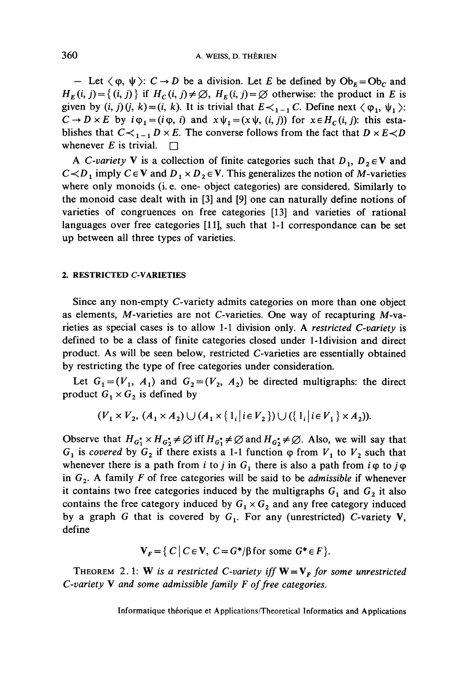— Let  $\langle \varphi, \psi \rangle$ :  $C \rightarrow D$  be a division. Let E be defined by  $Ob_E = Ob_C$  and  $H_F(i, j) = \{(i, j)\}\$ if  $H_C(i, j) \neq \emptyset$ ,  $H_F(i, j) = \emptyset$  otherwise: the product in *E* is given by  $(i, j)(j, k) = (i, k)$ . It is trivial that  $E \lt_{i-1} C$ . Define next  $\langle \varphi_1, \psi_1 \rangle$ :  $C \rightarrow D \times E$  by  $i \varphi_1 = (i \varphi, i)$  and  $x \psi_1 = (x \psi, (i, j))$  for  $x \in H_c(i, j)$ : this establishes that  $C \lt_{1}$ <sup>*l*</sup>  $D \times E$ . The converse follows from the fact that  $D \times E \lt D$ whenever *E* is trivial.  $\Box$ 

A *C*-variety **V** is a collection of finite categories such that  $D_1$ ,  $D_2 \in V$  and  $C \lt D$ <sup>1</sup>, imply  $C \in V$  and  $D_1 \times D_2 \in V$ . This generalizes the notion of M-varieties where only monoids (i. e. one- object categories) are considered. Similarly to the monoid case dealt with in [3] and [9] one can naturally define notions of varieties of congruences on free categories [13] and varieties of rational languages over free categories [11], such that 1-1 correspondance can be set up between ail three types of varieties.

#### **2. RESTRICTED C-VARIETIES**

Since any non-empty C-variety admits categories on more than one object as elements, M-varieties are not C-varieties. One way of recapturing  $M$ -varieties as special cases is to allow 1-1 division only. A *restricted C-variety* is defined to be a class of finite categories closed under 1-1division and direct product. As will be seen below, restricted C-varieties are essentially obtained by restricting the type of free categories under consideration.

Let  $G_1 = (V_1, A_1)$  and  $G_2 = (V_2, A_2)$  be directed multigraphs: the direct product  $G_1 \times G_2$  is defined by

$$
(V_1 \times V_2, (A_1 \times A_2) \cup (A_1 \times \{1_i | i \in V_2\}) \cup (\{1_i | i \in V_1\} \times A_2)).
$$

Observe that  $H_{G_1^*} \times H_{G_2^*} \neq \emptyset$  iff  $H_{G_1^*} \neq \emptyset$  and  $H_{G_2^*} \neq \emptyset$ . Also, we will say that  $G_1$  is *covered* by  $G_2$  if there exists a 1-1 function  $\varphi$  from  $V_1$  to  $V_2$  such that whenever there is a path from *i* to *j* in  $G_1$  there is also a path from  $i \varphi$  to  $j \varphi$ in  $G_2$ . A family F of free categories will be said to be *admissible* if whenever it contains two free categories induced by the multigraphs  $G_1$  and  $G_2$  it also contains the free category induced by  $G_1 \times G_2$  and any free category induced by a graph G that is covered by  $G_1$ . For any (unrestricted) C-variety V, define

$$
\mathbf{V}_F = \{ C \mid C \in \mathbf{V}, \ C = G^* / \beta \text{ for some } G^* \in F \}.
$$

THEOREM 2.1: **W** is a restricted C-variety iff  $W = V<sub>F</sub>$  for some unrestricted *C*-variety **V** and some admissible family *F* of free categories.

Informatique théorique et Applications/Theoretical Informaties and Applications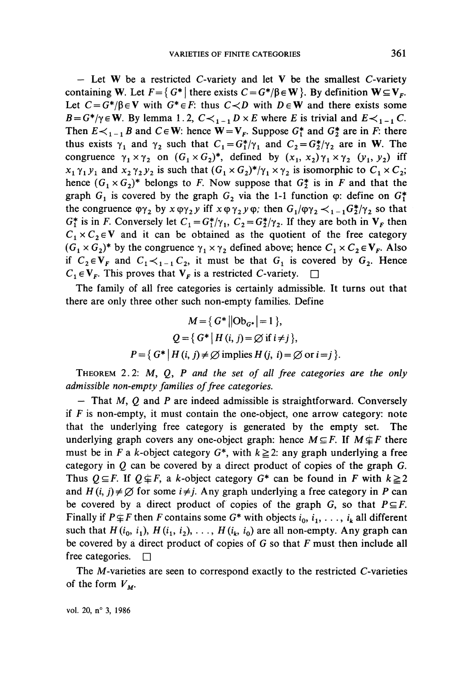$-$  Let W be a restricted C-variety and let V be the smallest C-variety containing W. Let  $F = \{ G^* | \text{ there exists } C = G^* / \beta \in W \}$ . By definition  $W \subseteq V_F$ . Let  $C = G^*/\beta \in V$  with  $G^* \in F$ : thus  $C \prec D$  with  $D \in W$  and there exists some  $B = G^*/\gamma \in \mathbb{W}$ . By lemma 1.2,  $C \leq \{1, 1\}$   $D \times E$  where *E* is trivial and  $E \leq \{1, 1\}$ . Then  $E \lt_{1}$ -1 B and  $C \in W$ : hence  $W = V_F$ . Suppose  $G_1^*$  and  $G_2^*$  are in F: there thus exists  $\gamma_1$  and  $\gamma_2$  such that  $C_1 = G_1^*/\gamma_1$  and  $C_2 = G_2^*/\gamma_2$  are in W. The congruence  $\gamma_1 \times \gamma_2$  on  $(G_1 \times G_2)^*$ , defined by  $(x_1, x_2) \gamma_1 \times \gamma_2 (y_1, y_2)$  iff  $x_1 \gamma_1 y_1$  and  $x_2 \gamma_2 y_2$  is such that  $(G_1 \times G_2)^*/\gamma_1 \times \gamma_2$  is isomorphic to  $C_1 \times C_2$ ; hence  $(G_1 \times G_2)^*$  belongs to F. Now suppose that  $G_2^*$  is in F and that the graph  $G_1$  is covered by the graph  $G_2$  via the 1-1 function  $\varphi$ : define on  $G_1^*$ the congruence  $\varphi \gamma_2$  by  $x \varphi \gamma_2 y$  iff  $x \varphi \gamma_2 y \varphi$ ; then  $G_1/\varphi \gamma_2 \prec_{1-1} G_2^*/\gamma_2$  so that  $G_1^*$  is in *F*. Conversely let  $C_1 = G_1^*/\gamma_1$ ,  $C_2 = G_2^*/\gamma_2$ . If they are both in  $V_F$  then  $C_1 \times C_2 \in V$  and it can be obtained as the quotient of the free category  $(G_1 \times G_2)^*$  by the congruence  $\gamma_1 \times \gamma_2$  defined above; hence  $C_1 \times C_2 \in V_F$ . Also if  $C_2 \in V_F$  and  $C_1 \prec_{1-1} C_2$ , it must be that  $G_i$  is covered by  $G_2$ . Hence  $C_1 \in V_F$ . This proves that  $V_F$  is a restricted C-variety.  $\square$ 

The family of all free categories is certainly admissible. It turns out that there are only three other such non-empty families. Define

$$
M = \{ G^* || \text{Ob}_{G^*} | = 1 \},
$$
  

$$
Q = \{ G^* | H(i, j) = \emptyset \text{ if } i \neq j \},
$$
  

$$
P = \{ G^* | H(i, j) \neq \emptyset \text{ implies } H(j, i) = \emptyset \text{ or } i = j \}.
$$

THEOREM 2.2: M, Q, P and the set of all free categories are the only *admissible non-empty families of free catégories,*

*—* That M, *Q* and *P* are indeed admissible is straightforward. Conversely if *F* is non-empty, it must contain the one-object, one arrow category: note that the underlying free category is generated by the empty set. The underlying graph covers any one-object graph: hence  $M \subseteq F$ . If  $M \not\subseteq F$  there must be in F a k-object category  $G^*$ , with  $k \geq 2$ : any graph underlying a free category in *Q* can be covered by a direct product of copies of the graph G. Thus  $Q \subseteq F$ . If  $Q \not\subseteq F$ , a k-object category  $G^*$  can be found in F with  $k \ge 2$ and  $H(i, j) \neq \emptyset$  for some  $i \neq j$ . Any graph underlying a free category in *P* can be covered by a direct product of copies of the graph G, so that  $P \subseteq F$ . Finally if  $P \nsubseteq F$  then F contains some  $G^*$  with objects  $i_0, i_1, \ldots, i_k$  all different such that  $H(i_0, i_1)$ ,  $H(i_1, i_2)$ , ...,  $H(i_k, i_0)$  are all non-empty. Any graph can be covered by a direct product of copies of  $G$  so that  $F$  must then include all free categories.  $\Box$ 

The M-varieties are seen to correspond exactly to the restricted C-varieties of the form  $V_M$ .

vol. 20, n° 3, 1986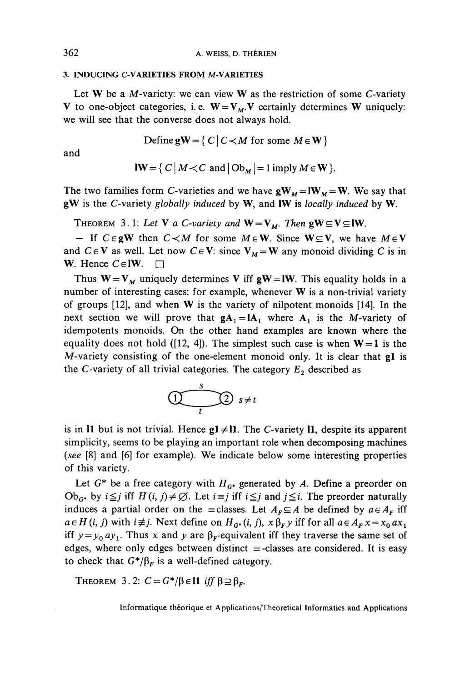#### **3. INDUCING C-VARIETIES FROM M-VARIETIES**

Let  $W$  be a M-variety: we can view  $W$  as the restriction of some C-variety V to one-object categories, i.e.  $W = V_M$ . V certainly determines W uniquely: we will see that the converse does not always hold.

Define  $gW = \{ C | C \lt M \text{ for some } M \in W \}$ 

and

 $\mathbf{I}\mathbf{W} = \{C \mid M \prec C \text{ and } |\mathbf{Ob}_M| = 1 \text{ imply } M \in \mathbf{W} \}.$ 

The two families form C-varieties and we have  $\mathbf{g}\mathbf{W}_M = \mathbf{I}\mathbf{W}_M = \mathbf{W}$ . We say that gW is the C-variety *globally induced* by W, and IW is *locally induced* by W.

THEOREM 3.1: Let **V** a C-variety and  $W = V_M$ . Then  $gW \subseteq V \subseteq W$ .

- If  $C \in gW$  then  $C \leq M$  for some  $M \in W$ . Since  $W \subseteq V$ , we have  $M \in V$ and  $C \in V$  as well. Let now  $C \in V$ : since  $V_M = W$  any monoid dividing C is in W. Hence  $C \in \mathbb{I} \mathbb{W}$ .  $\Box$ 

Thus  $W = V_M$  uniquely determines V iff gW = IW. This equality holds in a number of interesting cases: for example, whenever W is a non-trivial variety of groups [12], and when W is the variety of nilpotent monoids [14]. In the next section we will prove that  $gA_1 = IA_1$  where  $A_1$  is the M-variety of idempotents monoids. On the other hand examples are known where the equality does not hold ([12, 4]). The simplest such case is when  $W = 1$  is the M-variety consisting of the one-element monoid only. It is clear that gl is the C-variety of all trivial categories. The category  $E_2$  described as



is in I1 but is not trivial. Hence  $g1 \neq 11$ . The C-variety 11, despite its apparent simplicity, seems to be playing an important role when decomposing machines *(see* [8] and [6] for example). We indicate below some interesting properties of this variety.

Let  $G^*$  be a free category with  $H_{G^*}$  generated by A. Define a preorder on Ob<sub>G\*</sub> by  $i \leq j$  iff  $H(i, j) \neq \emptyset$ . Let  $i \equiv j$  iff  $i \leq j$  and  $j \leq i$ . The preorder naturally induces a partial order on the = classes. Let  $A_F \subseteq A$  be defined by  $a \in A_F$  iff  $a \in H(i, j)$  with  $i \neq j$ . Next define on  $H_{G^*}(i, j)$ ,  $x \beta_F y$  iff for all  $a \in A_F x = x_0 a x_1$ iff  $y = y_0 ay_1$ . Thus x and y are  $\beta_F$ -equivalent iff they traverse the same set of edges, where only edges between distinct  $\equiv$ -classes are considered. It is easy to check that  $G^*/\beta_F$  is a well-defined category.

**THEOREM** 3.2:  $C = G^*/\beta \in \mathbb{11}$  iff  $\beta \supseteq \beta_F$ .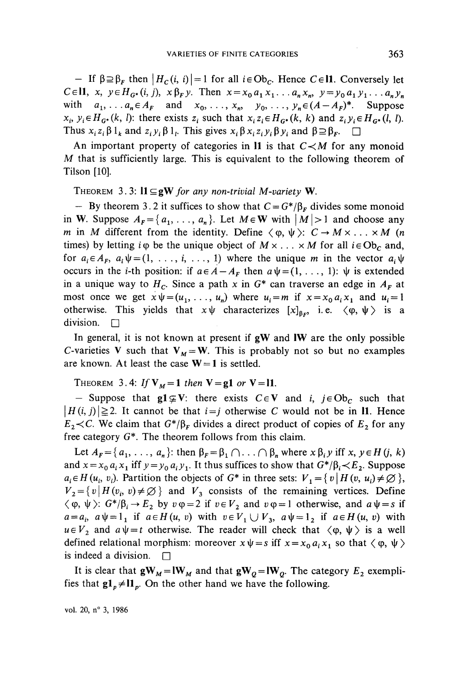$-$  If  $\beta \supseteq \beta_F$  then  $\vert H_c(i, i) \vert = 1$  for all  $i \in Ob_c$ . Hence  $C \in \mathbb{N}$ . Conversely let  $C \in \mathbb{H}$ ,  $x, y \in H_{G^*}(i, j)$ ,  $x \beta_F y$ . Then  $x = x_0 a_1 x_1 \dots a_n x_n$ ,  $y = y_0 a_1 y_1 \dots a_n y_n$ with  $a_1, \ldots, a_n \in A_F$  and  $x_0, \ldots, x_n, y_0, \ldots, y_n \in (A - A_F)^*$ . Suppose  $x_i, y_i \in H_{G^*}(k, l)$ : there exists  $z_i$  such that  $x_i z_i \in H_{G^*}(k, k)$  and  $z_i y_i \in H_{G^*}(l, l)$ . Thus  $x_i z_i \beta 1_k$  and  $z_i y_i \beta 1_l$ . This gives  $x_i \beta x_i z_i y_i \beta y_i$  and  $\beta \supseteq \beta_F$ .  $\Box$ 

An important property of categories in  $\mathbf{I}$  is that  $C \prec M$  for any monoid *M* that is sufficiently large. This is equivalent to the following theorem of Tilson [10].

THEOREM 3.3:  $11 \subseteq gW$  for any non-trivial M-variety W.

- By theorem 3.2 it suffices to show that  $C = G^*/\beta_F$  divides some monoid in W. Suppose  $A_F = \{a_1, \ldots, a_n\}$ . Let  $M \in W$  with  $|M| > 1$  and choose any m in M different from the identity. Define  $\langle \varphi, \psi \rangle: C \to M \times ... \times M$  (n times) by letting  $i\varphi$  be the unique object of  $M \times \ldots \times M$  for all  $i \in Ob_C$  and, for  $a_i \in A_F$ ,  $a_i \psi = (1, \ldots, i, \ldots, 1)$  where the unique *m* in the vector  $a_i \psi$ occurs in the *i*-th position: if  $a \in A - A_F$  then  $a \psi = (1, \ldots, 1)$ :  $\psi$  is extended in a unique way to  $H_c$ . Since a path x in  $G^*$  can traverse an edge in  $A_F$  at most once we get  $x\psi = (u_1, \ldots, u_n)$  where  $u_i = m$  if  $x = x_0 a_i x_1$  and  $u_i = 1$ otherwise. This yields that  $x \psi$  characterizes  $[x]_{\beta_F}$ , i.e.  $\langle \varphi, \psi \rangle$  is a division.  $\square$ 

In general, it is not known at present if  $gW$  and IW are the only possible C-varieties V such that  $V_M = W$ . This is probably not so but no examples are known. At least the case  $W = 1$  is settled.

THEOREM 3.4: If  $V_M = 1$  then  $V = g1$  or  $V = 11$ .

- Suppose that  $gl \subseteq V$ : there exists  $C \in V$  and *i, j* $\in Ob_C$  such that  $|H(i, j)| \geq 2$ . It cannot be that  $i = j$  otherwise C would not be in 11. Hence  $E_2 \lt C$ . We claim that  $G^*/\beta_F$  divides a direct product of copies of  $E_2$  for any free category  $G^*$ . The theorem follows from this claim.

Let  $A_F = \{a_1, \ldots, a_n\}$ : then  $\beta_F = \beta_1 \cap \ldots \cap \beta_n$  where  $x \beta_i y$  iff x,  $y \in H(j, k)$ and  $x = x_0 a_i x_1$  iff  $y = y_0 a_i y_1$ . It thus suffices to show that  $G^*/\beta_i \lt E_2$ . Suppose  $a_i \in H(u_i, v_i)$ . Partition the objects of  $G^*$  in three sets:  $V_1 = \{v \mid H(v, u_i) \neq \emptyset\}$ ,  $V_2 = \{v \mid H(v_i, v) \neq \emptyset\}$  and  $V_3$  consists of the remaining vertices. Define  $\langle \varphi, \psi \rangle$ :  $G^* / \beta_i \rightarrow E_2$  by  $v \varphi = 2$  if  $v \in V_2$  and  $v \varphi = 1$  otherwise, and  $a \psi = s$  if  $a = a_i$ ,  $a \psi = 1_i$  if  $a \in H(u, v)$  with  $v \in V_1 \cup V_3$ ,  $a \psi = 1_2$  if  $a \in H(u, v)$  with  $u \in V_2$  and  $a \psi = t$  otherwise. The reader will check that  $\langle \varphi, \psi \rangle$  is a well defined relational morphism: moreover  $x\psi = s$  iff  $x = x_0 a_i x_1$  so that  $\langle \varphi, \psi \rangle$ is indeed a division.  $\square$ 

It is clear that  $\mathbf{g}\mathbf{W}_M = \mathbf{I}\mathbf{W}_M$  and that  $\mathbf{g}\mathbf{W}_Q = \mathbf{I}\mathbf{W}_Q$ . The category  $E_2$  exemplifies that  $gl_p \neq ll_p$ . On the other hand we have the following.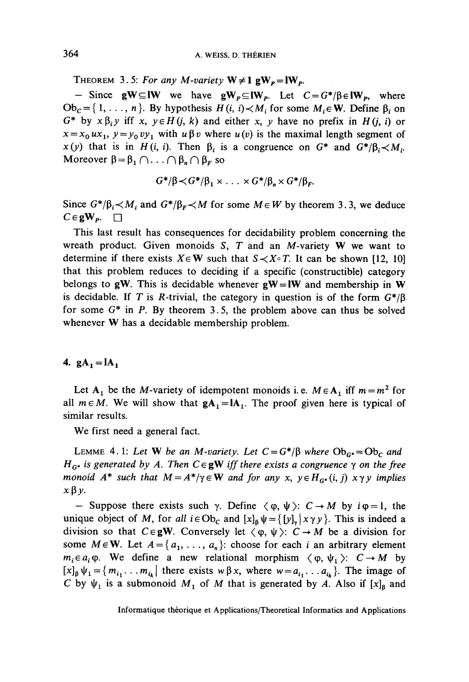THEOREM 3.5: For any M-variety  $W \neq 1$  g $W_p = lW_p$ .

- Since  $gW \subseteq lW$  we have  $gW_p \subseteq lW_p$ . Let  $C = G^*/\beta \in lW_p$ , where  $Ob_C = \{1, \ldots, n\}$ . By hypothesis  $H(i, i) \lt M_i$  for some  $M_i \in \mathbf{W}$ . Define  $\beta_i$  on  $G^*$  by  $x \beta_i y$  iff x,  $y \in H(j, k)$  and either x, y have no prefix in  $H(j, i)$  or  $x = x_0 u x_1$ ,  $y = y_0 v y_1$  with  $u \beta v$  where  $u(v)$  is the maximal length segment of  $x(y)$  that is in  $H(i, i)$ . Then  $\beta_i$  is a congruence on  $G^*$  and  $G^*/\beta_i \lt M_i$ . Moreover  $\beta = \beta_1 \cap \ldots \cap \beta_n \cap \beta_F$  so

$$
G^*/\beta \prec G^*/\beta_1 \times \ldots \times G^*/\beta_n \times G^*/\beta_F.
$$

Since  $G^*/\beta_i \lt M_i$  and  $G^*/\beta_F \lt M$  for some  $M \in W$  by theorem 3.3, we deduce  $C \in \mathbf{gW}_{p}$ .  $\Box$ 

This last result has consequences for decidability problem concerning the wreath product. Given monoids *S, T* and an M-variety W we want to determine if there exists  $X \in W$  such that  $S \prec X \circ T$ . It can be shown [12, 10] that this problem reduces to deciding if a specific (constructible) category belongs to gW. This is decidable whenever  $gW = lW$  and membership in W is decidable. If T is R-trivial, the category in question is of the form  $G^*/\beta$ for some G\* in *P.* By theorem 3.5, the problem above can thus be solved whenever W has a decidable membership problem.

### 4.  $gA_1 = IA_1$

Let  $A_1$  be the M-variety of idempotent monoids i.e.  $M \in A_1$  iff  $m = m^2$  for all  $m \in M$ . We will show that  $gA_1 = IA_1$ . The proof given here is typical of similar results.

We first need a general fact.

LEMME 4.1: Let **W** be an M-variety. Let  $C = G^*/\beta$  where  $Ob_{G^*} = Ob_C$  and  $H_{G^*}$  is generated by A. Then  $C \in gW$  iff there exists a congruence  $\gamma$  on the free *monoid*  $A^*$  *such that*  $M = A^*/\gamma \in W$  *and for any x,*  $\gamma \in H_G$ *<sup><i>i*</sup>(*i, j)*  $x \gamma y$  *implies*  $x \beta y$ .

— Suppose there exists such  $\gamma$ . Define  $\langle \varphi, \psi \rangle$ :  $C \rightarrow M$  by  $i\varphi = 1$ , the unique object of M, for all  $i \in Ob_C$  and  $[x]_B \psi = {\{y\}}_x | x \gamma y\}$ . This is indeed a division so that  $C \in gW$ . Conversely let  $\langle \varphi, \psi \rangle: C \to M$  be a division for some  $M \in \mathbf{W}$ . Let  $A = \{a_1, \ldots, a_n\}$ : choose for each i an arbitrary element  $m_i \in a_i \varphi$ . We define a new relational morphism  $\langle \varphi, \psi_1 \rangle$ :  $C \rightarrow M$  by  $[x]_B \psi_1 = \{m_{i_1} \ldots m_{i_k} \mid \text{there exists } w \beta x, \text{ where } w = a_{i_1} \ldots a_{i_k} \}.$  The image of C by  $\psi_1$  is a submonoid  $M_1$  of M that is generated by A. Also if  $[x]_B$  and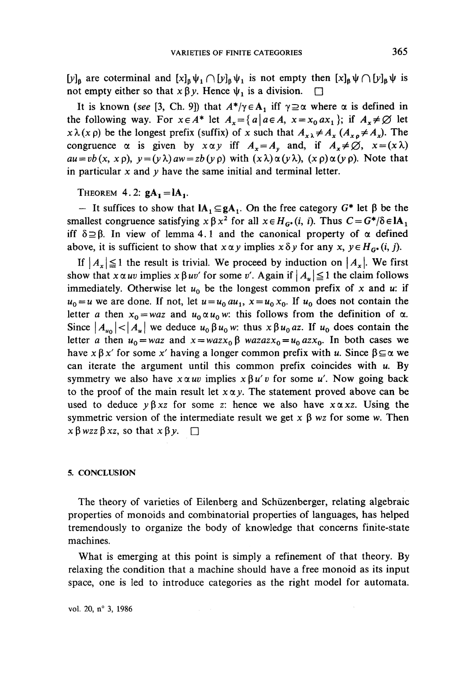$[y]_\beta$  are coterminal and  $[x]_\beta \psi_1 \cap [y]_\beta \psi_1$  is not empty then  $[x]_\beta \psi \cap [y]_\beta \psi$  is not empty either so that  $x \beta y$ . Hence  $\psi_1$  is a division.  $\square$ 

It is known (see [3, Ch. 9]) that  $A^*/\gamma \in A_1$  iff  $\gamma \supseteq \alpha$  where  $\alpha$  is defined in the following way. For  $x \in A^*$  let  $A_x = \{a \mid a \in A, x = x_0, ax_1\}$ ; if  $A_x \neq \emptyset$  let  $x \lambda(x \rho)$  be the longest prefix (suffix) of *x* such that  $A_{x\lambda} \neq A_x (A_{x\rho} \neq A_x)$ . The congruence  $\alpha$  is given by  $x \alpha y$  iff  $A_x = A_y$  and, if  $A_x \neq \emptyset$ ,  $x = (x \lambda)$  $au = vb(x, x \rho)$ ,  $y = (y \lambda)aw = zb(y \rho)$  with  $(x \lambda) \alpha(y \lambda)$ ,  $(x \rho) \alpha(y \rho)$ . Note that in particular x and  $\nu$  have the same initial and terminal letter.

THEOREM 4.2:  $gA_i = IA_i$ .

 $-$  It suffices to show that  $IA_1 \subseteq gA_1$ . On the free category  $G^*$  let  $\beta$  be the smallest congruence satisfying  $x \beta x^2$  for all  $x \in H_G$ <sup>*i*</sup> (*i, i*). Thus  $C = G^*/\delta \in IA_1$ iff  $\delta \supseteq \beta$ . In view of lemma 4.1 and the canonical property of  $\alpha$  defined above, it is sufficient to show that  $x \alpha y$  implies  $x \delta y$  for any  $x, y \in H_{G^*}(i, j)$ .

If  $|A_x| \leq 1$  the result is trivial. We proceed by induction on  $|A_x|$ . We first show that  $x \alpha uv$  implies  $x \beta uv'$  for some v'. Again if  $|A_u| \le 1$  the claim follows immediately. Otherwise let  $u_0$  be the longest common prefix of x and u: if  $u_0 = u$  we are done. If not, let  $u = u_0 a u_1$ ,  $x = u_0 x_0$ . If  $u_0$  does not contain the letter *a* then  $x_0 = waz$  and  $u_0 \alpha u_0 w$ : this follows from the definition of  $\alpha$ . Since  $|A_{u_0}|<|A_{u}|$  we deduce  $u_0\beta u_0w$ : thus  $x\beta u_0$  az. If  $u_0$  does contain the letter *a* then  $u_0 = waz$  and  $x = wazx_0 \beta$  wazaz $x_0 = u_0 azx_0$ . In both cases we have  $x \beta x'$  for some x' having a longer common prefix with u. Since  $\beta \subseteq \alpha$  we can iterate the argument until this common prefix coincides with  $u$ . By symmetry we also have  $x \alpha uv$  implies  $x \beta u'v$  for some u'. Now going back to the proof of the main result let  $x \alpha y$ . The statement proved above can be used to deduce  $y \beta xz$  for some z: hence we also have  $x \alpha xz$ . Using the symmetric version of the intermediate result we get  $x \beta$  wz for some w. Then  $x \beta wzz \beta xz$ , so that  $x \beta y$ .  $\Box$ 

#### **5. CONCLUSION**

The theory of varieties of Eilenberg and Schüzenberger, relating algebraic properties of monoids and combinatorial properties of languages, has helped tremendously to organize the body of knowledge that concerns finite-state machines.

What is emerging at this point is simply a refinement of that theory. By relaxing the condition that a machine should have a free monoid as its input space, one is led to introduce categories as the right model for automata.